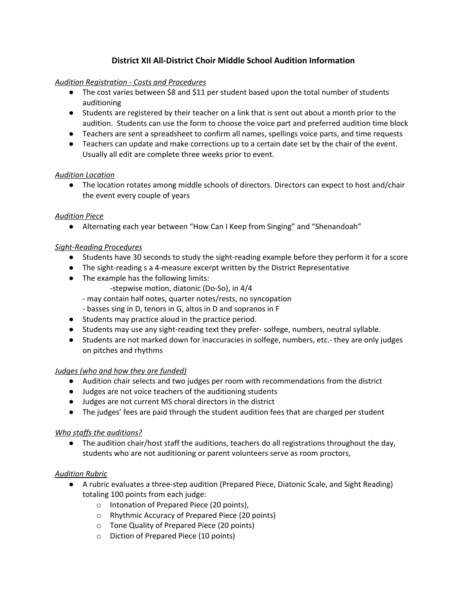# **District XII All-District Choir Middle School Audition Information**

# *Audition Registration - Costs and Procedures*

- The cost varies between \$8 and \$11 per student based upon the total number of students auditioning
- Students are registered by their teacher on a link that is sent out about a month prior to the audition. Students can use the form to choose the voice part and preferred audition time block
- Teachers are sent a spreadsheet to confirm all names, spellings voice parts, and time requests
- *●* Teachers can update and make corrections up to a certain date set by the chair of the event. Usually all edit are complete three weeks prior to event.

## *Audition Location*

● The location rotates among middle schools of directors. Directors can expect to host and/chair the event every couple of years

## *Audition Piece*

● Alternating each year between "How Can I Keep from Singing" and "Shenandoah"

## *Sight-Reading Procedures*

- Students have 30 seconds to study the sight-reading example before they perform it for a score
- The sight-reading s a 4-measure excerpt written by the District Representative
- The example has the following limits:
	- -stepwise motion, diatonic (Do-So), in 4/4
	- may contain half notes, quarter notes/rests, no syncopation
	- basses sing in D, tenors in G, altos in D and sopranos in F
- Students may practice aloud in the practice period.
- Students may use any sight-reading text they prefer- solfege, numbers, neutral syllable.
- Students are not marked down for inaccuracies in solfege, numbers, etc.- they are only judges on pitches and rhythms

#### *Judges (who and how they are funded)*

- Audition chair selects and two judges per room with recommendations from the district
- Judges are not voice teachers of the auditioning students
- Judges are not current MS choral directors in the district
- The judges' fees are paid through the student audition fees that are charged per student

#### *Who staffs the auditions?*

● The audition chair/host staff the auditions, teachers do all registrations throughout the day, students who are not auditioning or parent volunteers serve as room proctors,

#### *Audition Rubric*

- A rubric evaluates a three-step audition (Prepared Piece, Diatonic Scale, and Sight Reading) totaling 100 points from each judge:
	- o Intonation of Prepared Piece (20 points),
	- o Rhythmic Accuracy of Prepared Piece (20 points)
	- o Tone Quality of Prepared Piece (20 points)
	- o Diction of Prepared Piece (10 points)